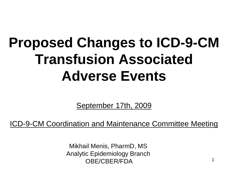# **Proposed Changes to ICD-9-CM Transfusion Associated Adverse Events**

September 17th, 2009

ICD-9-CM Coordination and Maintenance Committee Meeting

Mikhail Menis, PharmD, MS Analytic Epidemiology Branch OBE/CBER/FDA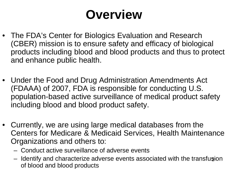### **Overview**

- The FDA's Center for Biologics Evaluation and Research (CBER) mission is to ensure safety and efficacy of biological products including blood and blood products and thus to protect and enhance public health.
- Under the Food and Drug Administration Amendments Act (FDAAA) of 2007, FDA is responsible for conducting U.S. population-based active surveillance of medical product safety including blood and blood product safety.
- Currently, we are using large medical databases from the Centers for Medicare & Medicaid Services, Health Maintenance Organizations and others to:
	- Conduct active surveillance of adverse events
	- Identify and characterize adverse events associated with the transfusion of blood and blood products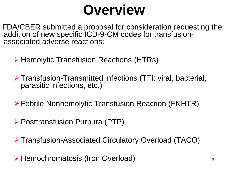# **Overview**

FDA/CBER submitted a proposal for consideration requesting the addition of new specific ICD-9-CM codes for transfusion- associated adverse reactions:

**≻ Hemolytic Transfusion Reactions (HTRs)** 

Transfusion-Transmitted infections (TTI: viral, bacterial, parasitic infections, etc.)

Febrile Nonhemolytic Transfusion Reaction (FNHTR)

Posttransfusion Purpura (PTP)

Transfusion-Associated Circulatory Overload (TACO)

Hemochromatosis (Iron Overload)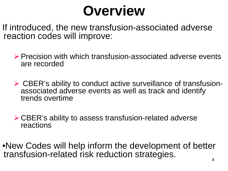# **Overview**

If introduced, the new transfusion-associated adverse reaction codes will improve:

 $\triangleright$  Precision with which transfusion-associated adverse events are recorded

 CBER's ability to conduct active surveillance of transfusion- associated adverse events as well as track and identify trends overtime

CBER's ability to assess transfusion-related adverse reactions

•New Codes will help inform the development of better transfusion-related risk reduction strategies.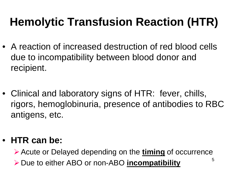- A reaction of increased destruction of red blood cells due to incompatibility between blood donor and recipient.
- Clinical and laboratory signs of HTR: fever, chills, rigors, hemoglobinuria, presence of antibodies to RBC antigens, etc.

#### • **HTR can be:**

Acute or Delayed depending on the **timing** of occurrence

Due to either ABO or non-ABO **incompatibility**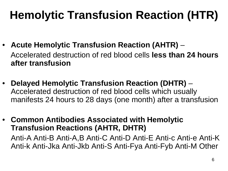- **Acute Hemolytic Transfusion Reaction (AHTR)** Accelerated destruction of red blood cells **less than 24 hours after transfusion**
- **Delayed Hemolytic Transfusion Reaction (DHTR)** Accelerated destruction of red blood cells which usually manifests 24 hours to 28 days (one month) after a transfusion

• **Common Antibodies Associated with Hemolytic Transfusion Reactions (AHTR, DHTR)**  Anti-A Anti-B Anti-A,B Anti-C Anti-D Anti-E Anti-c Anti-e Anti-K Anti-k Anti-Jka Anti-Jkb Anti-S Anti-Fya Anti-Fyb Anti-M Other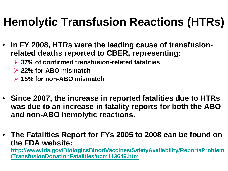- **In FY 2008, HTRs were the leading cause of transfusionrelated deaths reported to CBER, representing:**
	- **37% of confirmed transfusion-related fatalities**
	- **22% for ABO mismatch**
	- **15% for non-ABO mismatch**
- **Since 2007, the increase in reported fatalities due to HTRs was due to an increase in fatality reports for both the ABO and non-ABO hemolytic reactions.**
- **The Fatalities Report for FYs 2005 to 2008 can be found on the FDA website:**

**[http://www.fda.gov/BiologicsBloodVaccines/SafetyAvailability/ReportaProblem](http://www.fda.gov/BiologicsBloodVaccines/SafetyAvailability/ReportaProblem/TransfusionDonationFatalities/ucm113649.htm) [/TransfusionDonationFatalities/ucm113649.htm](http://www.fda.gov/BiologicsBloodVaccines/SafetyAvailability/ReportaProblem/TransfusionDonationFatalities/ucm113649.htm)**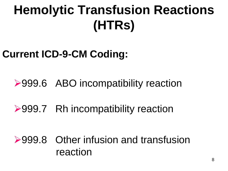#### **Current ICD-9-CM Coding:**

#### **≻999.6 ABO incompatibility reaction**

#### **≻999.7 Rh incompatibility reaction**

#### **►999.8 Other infusion and transfusion** reaction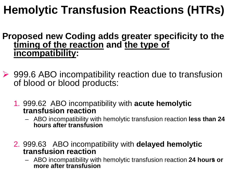- **Proposed new Coding adds greater specificity to the timing of the reaction and the type of incompatibility:**
- ▶ 999.6 ABO incompatibility reaction due to transfusion of blood or blood products:
	- 1. 999.62 ABO incompatibility with **acute hemolytic transfusion reaction**
		- ABO incompatibility with hemolytic transfusion reaction **less than 24 hours after transfusion**
	- 2. 999.63 ABO incompatibility with **delayed hemolytic transfusion reaction**
		- 9 ABO incompatibility with hemolytic transfusion reaction **24 hours or more after transfusion**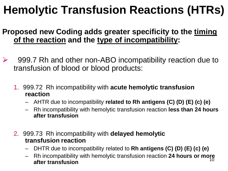#### **Proposed new Coding adds greater specificity to the timing of the reaction and the type of incompatibility:**

- 999.7 Rh and other non-ABO incompatibility reaction due to transfusion of blood or blood products:
	- 1. 999.72 Rh incompatibility with **acute hemolytic transfusion reaction**
		- AHTR due to incompatibility **related to Rh antigens (C) (D) (E) (c) (e)**
		- Rh incompatibility with hemolytic transfusion reaction **less than 24 hours after transfusion**
	- 2. 999.73 Rh incompatibility with **delayed hemolytic transfusion reaction**
		- DHTR due to incompatibility related to **Rh antigens (C) (D) (E) (c) (e)**
		- 10 – Rh incompatibility with hemolytic transfusion reaction **24 hours or more after transfusion**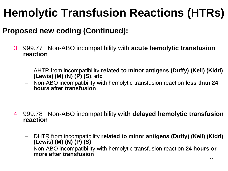#### **Proposed new coding (Continued):**

- 3. 999.77 Non-ABO incompatibility with **acute hemolytic transfusion reaction**
	- AHTR from incompatibility **related to minor antigens (Duffy) (Kell) (Kidd) (Lewis) (M) (N) (P) (S), etc**
	- Non-ABO incompatibility with hemolytic transfusion reaction **less than 24 hours after transfusion**

- 4. 999.78 Non-ABO incompatibility **with delayed hemolytic transfusion reaction** 
	- DHTR from incompatibility **related to minor antigens (Duffy) (Kell) (Kidd) (Lewis) (M) (N) (P) (S)**
	- Non-ABO incompatibility with hemolytic transfusion reaction **24 hours or more after transfusion**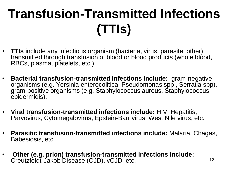# **Transfusion-Transmitted Infections (TTIs)**

- **TTIs** include any infectious organism (bacteria, virus, parasite, other) transmitted through transfusion of blood or blood products (whole blood, RBCs, plasma, platelets, etc.)
- **Bacterial transfusion-transmitted infections include:** gram-negative organisms (e.g. Yersinia enterocolitica, Pseudomonas spp , Serratia spp), gram-positive organisms (e.g. Staphylococcus aureus, Staphylococcus epidermidis).
- **Viral transfusion-transmitted infections include:** HIV, Hepatitis, Parvovirus, Cytomegalovirus, Epstein-Barr virus, West Nile virus, etc.
- **Parasitic transfusion-transmitted infections include:** Malaria, Chagas, Babesiosis, etc.
- **Other (e.g. prion) transfusion-transmitted infections include:** Creutzfeldt-Jakob Disease (CJD), vCJD, etc.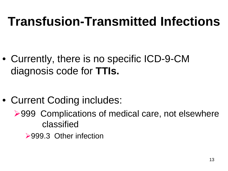### **Transfusion-Transmitted Infections**

• Currently, there is no specific ICD-9-CM diagnosis code for **TTIs.**

- Current Coding includes:
	- ▶999 Complications of medical care, not elsewhere classified
		- ▶999.3 Other infection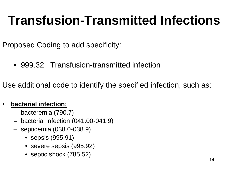### **Transfusion-Transmitted Infections**

Proposed Coding to add specificity:

• 999.32 Transfusion-transmitted infection

Use additional code to identify the specified infection, such as:

#### • **bacterial infection:**

- bacteremia (790.7)
- bacterial infection (041.00-041.9)
- septicemia (038.0-038.9)
	- sepsis (995.91)
	- severe sepsis (995.92)
	- septic shock (785.52)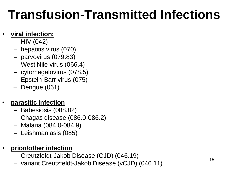### **Transfusion-Transmitted Infections**

#### • **viral infection:**

- $-$  HIV (042)
- hepatitis virus (070)
- parvovirus (079.83)
- West Nile virus (066.4)
- cytomegalovirus (078.5)
- Epstein-Barr virus (075)
- Dengue (061)

#### • **parasitic infection**

- Babesiosis (088.82)
- Chagas disease (086.0-086.2)
- Malaria (084.0-084.9)
- Leishmaniasis (085)

#### • **prion/other infection**

- Creutzfeldt-Jakob Disease (CJD) (046.19)
- variant Creutzfeldt-Jakob Disease (vCJD) (046.11)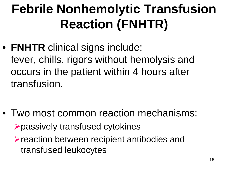# **Febrile Nonhemolytic Transfusion Reaction (FNHTR)**

• **FNHTR** clinical signs include: fever, chills, rigors without hemolysis and occurs in the patient within 4 hours after transfusion.

- Two most common reaction mechanisms: passively transfused cytokines
	- reaction between recipient antibodies and transfused leukocytes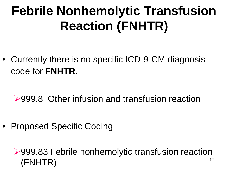# **Febrile Nonhemolytic Transfusion Reaction (FNHTR)**

• Currently there is no specific ICD-9-CM diagnosis code for **FNHTR**.

#### **≻999.8 Other infusion and transfusion reaction**

• Proposed Specific Coding:

#### 17 ▶999.83 Febrile nonhemolytic transfusion reaction (FNHTR)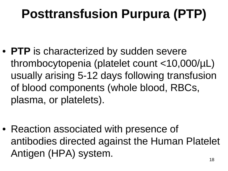# **Posttransfusion Purpura (PTP)**

• **PTP** is characterized by sudden severe thrombocytopenia (platelet count <10,000/µL) usually arising 5-12 days following transfusion of blood components (whole blood, RBCs, plasma, or platelets).

• Reaction associated with presence of antibodies directed against the Human Platelet Antigen (HPA) system.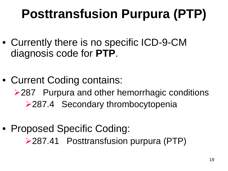# **Posttransfusion Purpura (PTP)**

- Currently there is no specific ICD-9-CM diagnosis code for **PTP**.
- Current Coding contains: ▶ 287 Purpura and other hemorrhagic conditions **≻287.4 Secondary thrombocytopenia**
- Proposed Specific Coding: 287.41 Posttransfusion purpura (PTP)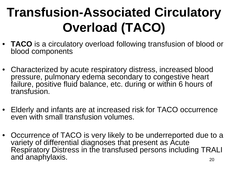# **Transfusion-Associated Circulatory Overload (TACO)**

- **TACO** is a circulatory overload following transfusion of blood or blood components
- Characterized by acute respiratory distress, increased blood pressure, pulmonary edema secondary to congestive heart failure, positive fluid balance, etc. during or within 6 hours of transfusion.
- Elderly and infants are at increased risk for TACO occurrence even with small transfusion volumes.
- 20 • Occurrence of TACO is very likely to be underreported due to a variety of differential diagnoses that present as Acute Respiratory Distress in the transfused persons including TRALI and anaphylaxis.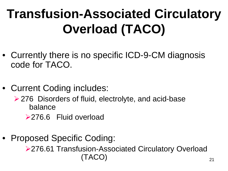# **Transfusion-Associated Circulatory Overload (TACO)**

- Currently there is no specific ICD-9-CM diagnosis code for TACO.
- Current Coding includes:
	- ▶ 276 Disorders of fluid, electrolyte, and acid-base balance
		- ▶ 276.6 Fluid overload
- Proposed Specific Coding:

▶ 276.61 Transfusion-Associated Circulatory Overload (TACO)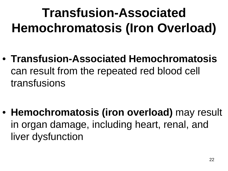# **Transfusion-Associated Hemochromatosis (Iron Overload)**

• **Transfusion-Associated Hemochromatosis**  can result from the repeated red blood cell transfusions

• **Hemochromatosis (iron overload)** may result in organ damage, including heart, renal, and liver dysfunction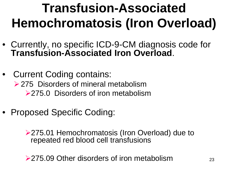# **Transfusion-Associated Hemochromatosis (Iron Overload)**

- Currently, no specific ICD-9-CM diagnosis code for **Transfusion-Associated Iron Overload**.
- Current Coding contains: **► 275 Disorders of mineral metabolism ≻275.0 Disorders of iron metabolism**
- Proposed Specific Coding:

▶ 275.01 Hemochromatosis (Iron Overload) due to repeated red blood cell transfusions

**►275.09 Other disorders of iron metabolism**